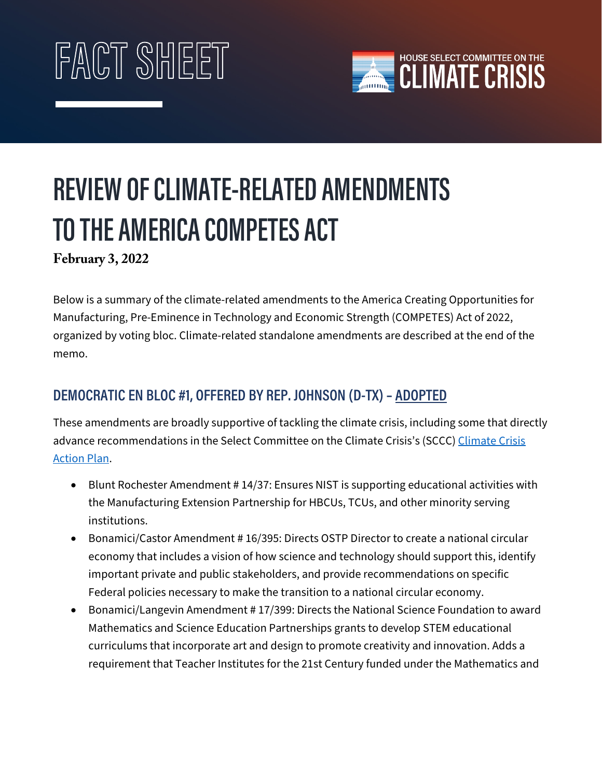# FACT SHEET



# **REVIEW OF CLIMATE-RELATED AMENDMENTS TO THE AMERICA COMPETES ACT**

**February 3, 2022** 

Below is a summary of the climate-related amendments to the America Creating Opportunities for Manufacturing, Pre-Eminence in Technology and Economic Strength (COMPETES) Act of 2022, organized by voting bloc. Climate-related standalone amendments are described at the end of the memo.

# **DEMOCRATIC EN BLOC #1, OFFERED BY REP. JOHNSON (D-TX) – ADOPTED**

These amendments are broadly supportive of tackling the climate crisis, including some that directly advance recommendations in the Select Committee on the Climate Crisis's (SCCC) Climate Crisis [Action Plan.](https://climatecrisis.house.gov/report)

- Blunt Rochester Amendment # 14/37: Ensures NIST is supporting educational activities with the Manufacturing Extension Partnership for HBCUs, TCUs, and other minority serving institutions.
- Bonamici/Castor Amendment # 16/395: Directs OSTP Director to create a national circular economy that includes a vision of how science and technology should support this, identify important private and public stakeholders, and provide recommendations on specific Federal policies necessary to make the transition to a national circular economy.
- Bonamici/Langevin Amendment # 17/399: Directs the National Science Foundation to award Mathematics and Science Education Partnerships grants to develop STEM educational curriculums that incorporate art and design to promote creativity and innovation. Adds a requirement that Teacher Institutes for the 21st Century funded under the Mathematics and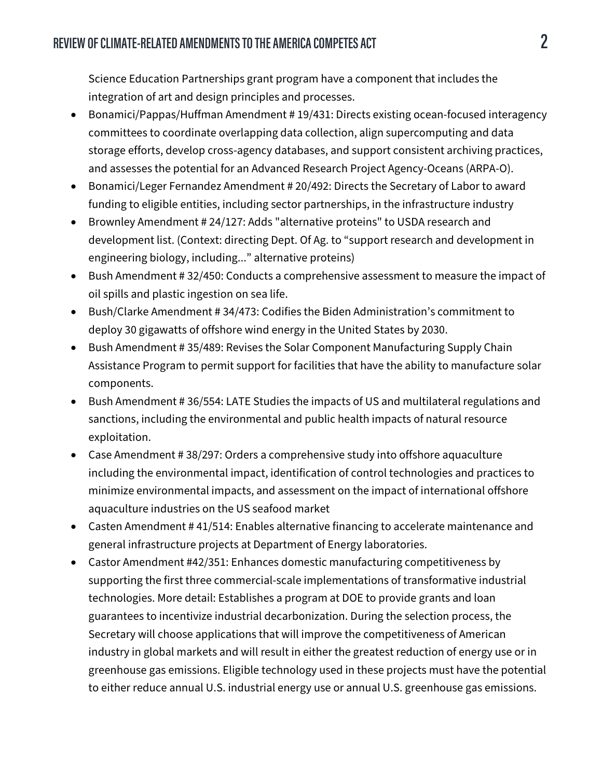Science Education Partnerships grant program have a component that includes the integration of art and design principles and processes.

- Bonamici/Pappas/Huffman Amendment # 19/431: Directs existing ocean-focused interagency committees to coordinate overlapping data collection, align supercomputing and data storage efforts, develop cross-agency databases, and support consistent archiving practices, and assesses the potential for an Advanced Research Project Agency-Oceans (ARPA-O).
- Bonamici/Leger Fernandez Amendment # 20/492: Directs the Secretary of Labor to award funding to eligible entities, including sector partnerships, in the infrastructure industry
- Brownley Amendment # 24/127: Adds "alternative proteins" to USDA research and development list. (Context: directing Dept. Of Ag. to "support research and development in engineering biology, including..." alternative proteins)
- Bush Amendment # 32/450: Conducts a comprehensive assessment to measure the impact of oil spills and plastic ingestion on sea life.
- Bush/Clarke Amendment # 34/473: Codifies the Biden Administration's commitment to deploy 30 gigawatts of offshore wind energy in the United States by 2030.
- Bush Amendment #35/489: Revises the Solar Component Manufacturing Supply Chain Assistance Program to permit support for facilities that have the ability to manufacture solar components.
- Bush Amendment # 36/554: LATE Studies the impacts of US and multilateral regulations and sanctions, including the environmental and public health impacts of natural resource exploitation.
- Case Amendment # 38/297: Orders a comprehensive study into offshore aquaculture including the environmental impact, identification of control technologies and practices to minimize environmental impacts, and assessment on the impact of international offshore aquaculture industries on the US seafood market
- Casten Amendment # 41/514: Enables alternative financing to accelerate maintenance and general infrastructure projects at Department of Energy laboratories.
- Castor Amendment #42/351: Enhances domestic manufacturing competitiveness by supporting the first three commercial-scale implementations of transformative industrial technologies. More detail: Establishes a program at DOE to provide grants and loan guarantees to incentivize industrial decarbonization. During the selection process, the Secretary will choose applications that will improve the competitiveness of American industry in global markets and will result in either the greatest reduction of energy use or in greenhouse gas emissions. Eligible technology used in these projects must have the potential to either reduce annual U.S. industrial energy use or annual U.S. greenhouse gas emissions.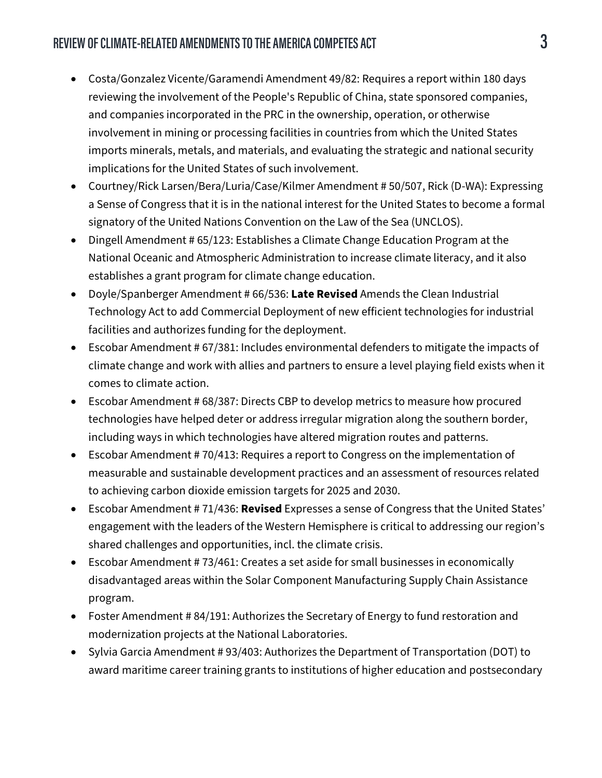- Costa/Gonzalez Vicente/Garamendi Amendment 49/82: Requires a report within 180 days reviewing the involvement of the People's Republic of China, state sponsored companies, and companies incorporated in the PRC in the ownership, operation, or otherwise involvement in mining or processing facilities in countries from which the United States imports minerals, metals, and materials, and evaluating the strategic and national security implications for the United States of such involvement.
- Courtney/Rick Larsen/Bera/Luria/Case/Kilmer Amendment # 50/507, Rick (D-WA): Expressing a Sense of Congress that it is in the national interest for the United States to become a formal signatory of the United Nations Convention on the Law of the Sea (UNCLOS).
- Dingell Amendment # 65/123: Establishes a Climate Change Education Program at the National Oceanic and Atmospheric Administration to increase climate literacy, and it also establishes a grant program for climate change education.
- Doyle/Spanberger Amendment # 66/536: **Late Revised** Amends the Clean Industrial Technology Act to add Commercial Deployment of new efficient technologies for industrial facilities and authorizes funding for the deployment.
- Escobar Amendment # 67/381: Includes environmental defenders to mitigate the impacts of climate change and work with allies and partners to ensure a level playing field exists when it comes to climate action.
- Escobar Amendment # 68/387: Directs CBP to develop metrics to measure how procured technologies have helped deter or address irregular migration along the southern border, including ways in which technologies have altered migration routes and patterns.
- Escobar Amendment # 70/413: Requires a report to Congress on the implementation of measurable and sustainable development practices and an assessment of resources related to achieving carbon dioxide emission targets for 2025 and 2030.
- Escobar Amendment # 71/436: **Revised** Expresses a sense of Congress that the United States' engagement with the leaders of the Western Hemisphere is critical to addressing our region's shared challenges and opportunities, incl. the climate crisis.
- Escobar Amendment # 73/461: Creates a set aside for small businesses in economically disadvantaged areas within the Solar Component Manufacturing Supply Chain Assistance program.
- Foster Amendment # 84/191: Authorizes the Secretary of Energy to fund restoration and modernization projects at the National Laboratories.
- Sylvia Garcia Amendment # 93/403: Authorizes the Department of Transportation (DOT) to award maritime career training grants to institutions of higher education and postsecondary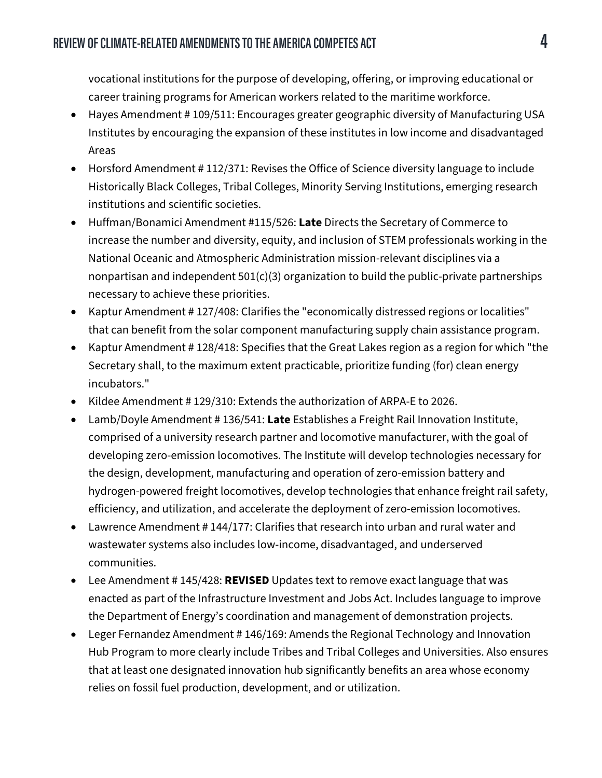vocational institutions for the purpose of developing, offering, or improving educational or career training programs for American workers related to the maritime workforce.

- Hayes Amendment # 109/511: Encourages greater geographic diversity of Manufacturing USA Institutes by encouraging the expansion of these institutes in low income and disadvantaged Areas
- Horsford Amendment # 112/371: Revises the Office of Science diversity language to include Historically Black Colleges, Tribal Colleges, Minority Serving Institutions, emerging research institutions and scientific societies.
- Huffman/Bonamici Amendment #115/526: **Late** Directs the Secretary of Commerce to increase the number and diversity, equity, and inclusion of STEM professionals working in the National Oceanic and Atmospheric Administration mission-relevant disciplines via a nonpartisan and independent 501(c)(3) organization to build the public-private partnerships necessary to achieve these priorities.
- Kaptur Amendment # 127/408: Clarifies the "economically distressed regions or localities" that can benefit from the solar component manufacturing supply chain assistance program.
- Kaptur Amendment # 128/418: Specifies that the Great Lakes region as a region for which "the Secretary shall, to the maximum extent practicable, prioritize funding (for) clean energy incubators."
- Kildee Amendment # 129/310: Extends the authorization of ARPA-E to 2026.
- Lamb/Doyle Amendment # 136/541: **Late** Establishes a Freight Rail Innovation Institute, comprised of a university research partner and locomotive manufacturer, with the goal of developing zero-emission locomotives. The Institute will develop technologies necessary for the design, development, manufacturing and operation of zero-emission battery and hydrogen-powered freight locomotives, develop technologies that enhance freight rail safety, efficiency, and utilization, and accelerate the deployment of zero-emission locomotives.
- Lawrence Amendment # 144/177: Clarifies that research into urban and rural water and wastewater systems also includes low-income, disadvantaged, and underserved communities.
- Lee Amendment # 145/428: **REVISED** Updates text to remove exact language that was enacted as part of the Infrastructure Investment and Jobs Act. Includes language to improve the Department of Energy's coordination and management of demonstration projects.
- Leger Fernandez Amendment # 146/169: Amends the Regional Technology and Innovation Hub Program to more clearly include Tribes and Tribal Colleges and Universities. Also ensures that at least one designated innovation hub significantly benefits an area whose economy relies on fossil fuel production, development, and or utilization.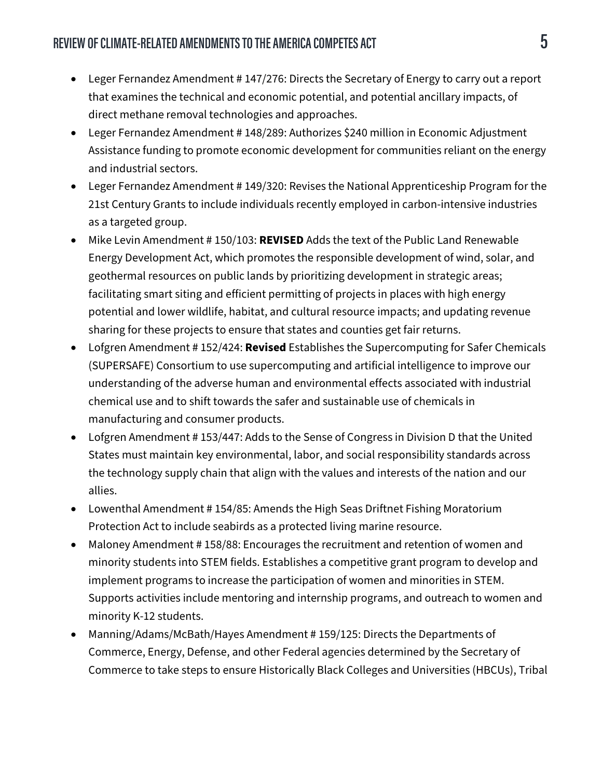- Leger Fernandez Amendment # 147/276: Directs the Secretary of Energy to carry out a report that examines the technical and economic potential, and potential ancillary impacts, of direct methane removal technologies and approaches.
- Leger Fernandez Amendment # 148/289: Authorizes \$240 million in Economic Adjustment Assistance funding to promote economic development for communities reliant on the energy and industrial sectors.
- Leger Fernandez Amendment # 149/320: Revises the National Apprenticeship Program for the 21st Century Grants to include individuals recently employed in carbon-intensive industries as a targeted group.
- Mike Levin Amendment # 150/103: **REVISED** Adds the text of the Public Land Renewable Energy Development Act, which promotes the responsible development of wind, solar, and geothermal resources on public lands by prioritizing development in strategic areas; facilitating smart siting and efficient permitting of projects in places with high energy potential and lower wildlife, habitat, and cultural resource impacts; and updating revenue sharing for these projects to ensure that states and counties get fair returns.
- Lofgren Amendment # 152/424: **Revised** Establishes the Supercomputing for Safer Chemicals (SUPERSAFE) Consortium to use supercomputing and artificial intelligence to improve our understanding of the adverse human and environmental effects associated with industrial chemical use and to shift towards the safer and sustainable use of chemicals in manufacturing and consumer products.
- Lofgren Amendment # 153/447: Adds to the Sense of Congress in Division D that the United States must maintain key environmental, labor, and social responsibility standards across the technology supply chain that align with the values and interests of the nation and our allies.
- Lowenthal Amendment # 154/85: Amends the High Seas Driftnet Fishing Moratorium Protection Act to include seabirds as a protected living marine resource.
- Maloney Amendment # 158/88: Encourages the recruitment and retention of women and minority students into STEM fields. Establishes a competitive grant program to develop and implement programs to increase the participation of women and minorities in STEM. Supports activities include mentoring and internship programs, and outreach to women and minority K-12 students.
- Manning/Adams/McBath/Hayes Amendment # 159/125: Directs the Departments of Commerce, Energy, Defense, and other Federal agencies determined by the Secretary of Commerce to take steps to ensure Historically Black Colleges and Universities (HBCUs), Tribal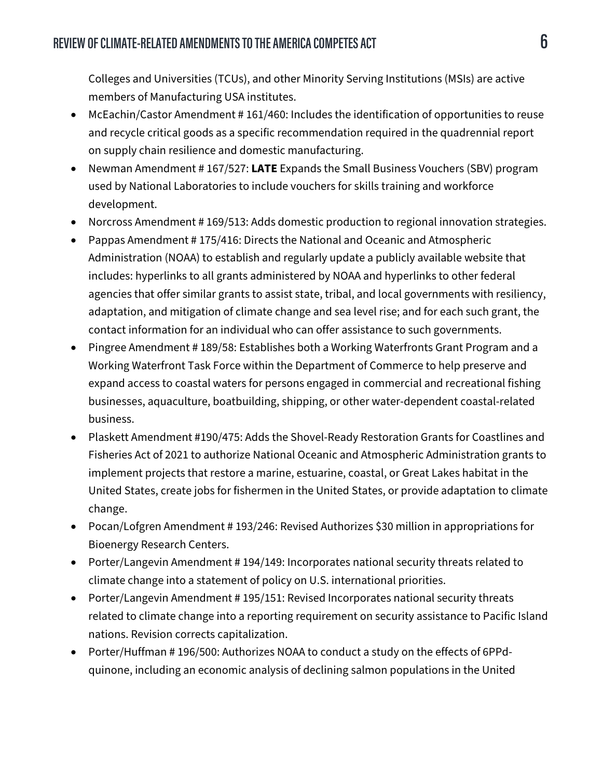Colleges and Universities (TCUs), and other Minority Serving Institutions (MSIs) are active members of Manufacturing USA institutes.

- McEachin/Castor Amendment # 161/460: Includes the identification of opportunities to reuse and recycle critical goods as a specific recommendation required in the quadrennial report on supply chain resilience and domestic manufacturing.
- Newman Amendment # 167/527: **LATE** Expands the Small Business Vouchers (SBV) program used by National Laboratories to include vouchers for skills training and workforce development.
- Norcross Amendment # 169/513: Adds domestic production to regional innovation strategies.
- Pappas Amendment # 175/416: Directs the National and Oceanic and Atmospheric Administration (NOAA) to establish and regularly update a publicly available website that includes: hyperlinks to all grants administered by NOAA and hyperlinks to other federal agencies that offer similar grants to assist state, tribal, and local governments with resiliency, adaptation, and mitigation of climate change and sea level rise; and for each such grant, the contact information for an individual who can offer assistance to such governments.
- Pingree Amendment # 189/58: Establishes both a Working Waterfronts Grant Program and a Working Waterfront Task Force within the Department of Commerce to help preserve and expand access to coastal waters for persons engaged in commercial and recreational fishing businesses, aquaculture, boatbuilding, shipping, or other water-dependent coastal-related business.
- Plaskett Amendment #190/475: Adds the Shovel-Ready Restoration Grants for Coastlines and Fisheries Act of 2021 to authorize National Oceanic and Atmospheric Administration grants to implement projects that restore a marine, estuarine, coastal, or Great Lakes habitat in the United States, create jobs for fishermen in the United States, or provide adaptation to climate change.
- Pocan/Lofgren Amendment # 193/246: Revised Authorizes \$30 million in appropriations for Bioenergy Research Centers.
- Porter/Langevin Amendment #194/149: Incorporates national security threats related to climate change into a statement of policy on U.S. international priorities.
- Porter/Langevin Amendment #195/151: Revised Incorporates national security threats related to climate change into a reporting requirement on security assistance to Pacific Island nations. Revision corrects capitalization.
- Porter/Huffman # 196/500: Authorizes NOAA to conduct a study on the effects of 6PPdquinone, including an economic analysis of declining salmon populations in the United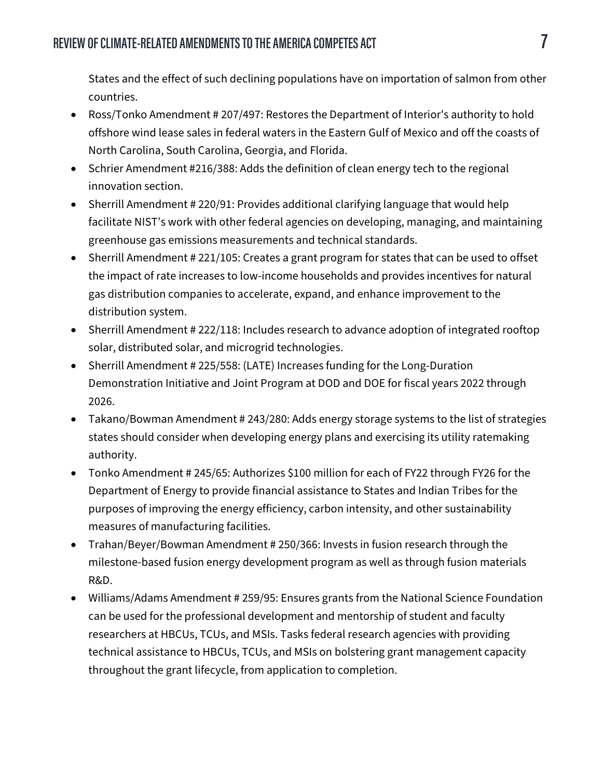States and the effect of such declining populations have on importation of salmon from other countries.

- Ross/Tonko Amendment # 207/497: Restores the Department of Interior's authority to hold offshore wind lease sales in federal waters in the Eastern Gulf of Mexico and off the coasts of North Carolina, South Carolina, Georgia, and Florida.
- Schrier Amendment #216/388: Adds the definition of clean energy tech to the regional innovation section.
- Sherrill Amendment # 220/91: Provides additional clarifying language that would help facilitate NIST's work with other federal agencies on developing, managing, and maintaining greenhouse gas emissions measurements and technical standards.
- Sherrill Amendment # 221/105: Creates a grant program for states that can be used to offset the impact of rate increases to low-income households and provides incentives for natural gas distribution companies to accelerate, expand, and enhance improvement to the distribution system.
- Sherrill Amendment #222/118: Includes research to advance adoption of integrated rooftop solar, distributed solar, and microgrid technologies.
- Sherrill Amendment # 225/558: (LATE) Increases funding for the Long-Duration Demonstration Initiative and Joint Program at DOD and DOE for fiscal years 2022 through 2026.
- Takano/Bowman Amendment # 243/280: Adds energy storage systems to the list of strategies states should consider when developing energy plans and exercising its utility ratemaking authority.
- Tonko Amendment # 245/65: Authorizes \$100 million for each of FY22 through FY26 for the Department of Energy to provide financial assistance to States and Indian Tribes for the purposes of improving the energy efficiency, carbon intensity, and other sustainability measures of manufacturing facilities.
- Trahan/Beyer/Bowman Amendment # 250/366: Invests in fusion research through the milestone-based fusion energy development program as well as through fusion materials R&D.
- Williams/Adams Amendment # 259/95: Ensures grants from the National Science Foundation can be used for the professional development and mentorship of student and faculty researchers at HBCUs, TCUs, and MSIs. Tasks federal research agencies with providing technical assistance to HBCUs, TCUs, and MSIs on bolstering grant management capacity throughout the grant lifecycle, from application to completion.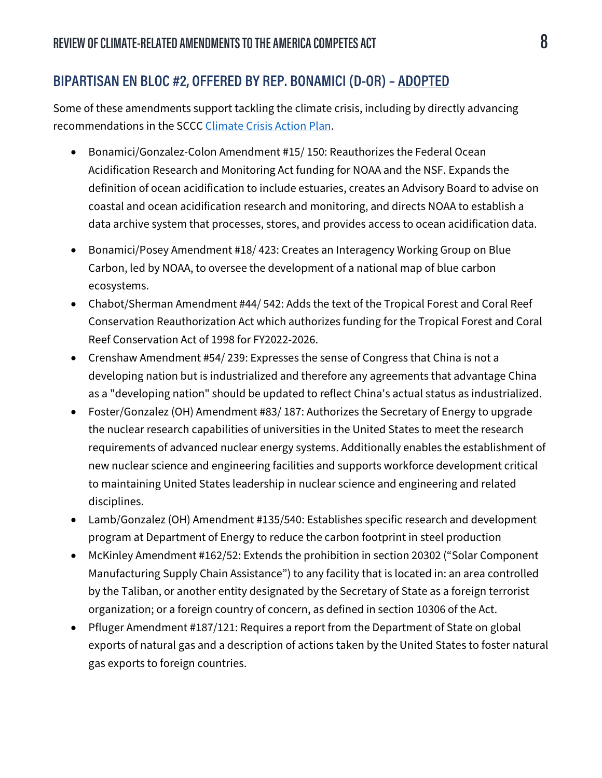#### **BIPARTISAN EN BLOC #2, OFFERED BY REP. BONAMICI (D-OR) – ADOPTED**

Some of these amendments support tackling the climate crisis, including by directly advancing recommendations in the SCCC [Climate Crisis Action Plan.](https://climatecrisis.house.gov/report)

- Bonamici/Gonzalez-Colon Amendment #15/ 150: Reauthorizes the Federal Ocean Acidification Research and Monitoring Act funding for NOAA and the NSF. Expands the definition of ocean acidification to include estuaries, creates an Advisory Board to advise on coastal and ocean acidification research and monitoring, and directs NOAA to establish a data archive system that processes, stores, and provides access to ocean acidification data.
- Bonamici/Posey Amendment #18/ 423: Creates an Interagency Working Group on Blue Carbon, led by NOAA, to oversee the development of a national map of blue carbon ecosystems.
- Chabot/Sherman Amendment #44/ 542: Adds the text of the Tropical Forest and Coral Reef Conservation Reauthorization Act which authorizes funding for the Tropical Forest and Coral Reef Conservation Act of 1998 for FY2022-2026.
- Crenshaw Amendment #54/ 239: Expresses the sense of Congress that China is not a developing nation but is industrialized and therefore any agreements that advantage China as a "developing nation" should be updated to reflect China's actual status as industrialized.
- Foster/Gonzalez (OH) Amendment #83/ 187: Authorizes the Secretary of Energy to upgrade the nuclear research capabilities of universities in the United States to meet the research requirements of advanced nuclear energy systems. Additionally enables the establishment of new nuclear science and engineering facilities and supports workforce development critical to maintaining United States leadership in nuclear science and engineering and related disciplines.
- Lamb/Gonzalez (OH) Amendment #135/540: Establishes specific research and development program at Department of Energy to reduce the carbon footprint in steel production
- McKinley Amendment #162/52: Extends the prohibition in section 20302 ("Solar Component Manufacturing Supply Chain Assistance") to any facility that is located in: an area controlled by the Taliban, or another entity designated by the Secretary of State as a foreign terrorist organization; or a foreign country of concern, as defined in section 10306 of the Act.
- Pfluger Amendment #187/121: Requires a report from the Department of State on global exports of natural gas and a description of actions taken by the United States to foster natural gas exports to foreign countries.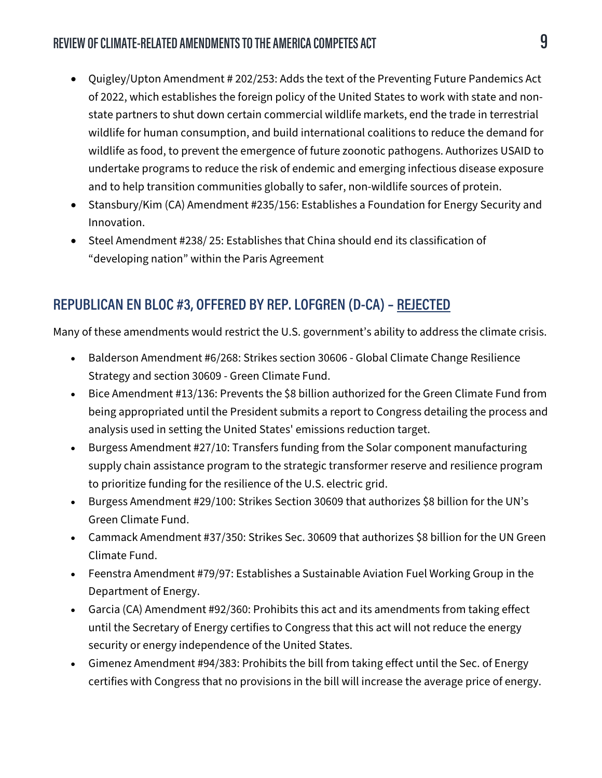- Quigley/Upton Amendment # 202/253: Adds the text of the Preventing Future Pandemics Act of 2022, which establishes the foreign policy of the United States to work with state and nonstate partners to shut down certain commercial wildlife markets, end the trade in terrestrial wildlife for human consumption, and build international coalitions to reduce the demand for wildlife as food, to prevent the emergence of future zoonotic pathogens. Authorizes USAID to undertake programs to reduce the risk of endemic and emerging infectious disease exposure and to help transition communities globally to safer, non-wildlife sources of protein.
- Stansbury/Kim (CA) Amendment #235/156: Establishes a Foundation for Energy Security and Innovation.
- Steel Amendment #238/ 25: Establishes that China should end its classification of "developing nation" within the Paris Agreement

#### **REPUBLICAN EN BLOC #3, OFFERED BY REP. LOFGREN (D-CA) – REJECTED**

Many of these amendments would restrict the U.S. government's ability to address the climate crisis.

- Balderson Amendment #6/268: Strikes section 30606 Global Climate Change Resilience Strategy and section 30609 - Green Climate Fund.
- Bice Amendment #13/136: Prevents the \$8 billion authorized for the Green Climate Fund from being appropriated until the President submits a report to Congress detailing the process and analysis used in setting the United States' emissions reduction target.
- Burgess Amendment #27/10: Transfers funding from the Solar component manufacturing supply chain assistance program to the strategic transformer reserve and resilience program to prioritize funding for the resilience of the U.S. electric grid.
- Burgess Amendment #29/100: Strikes Section 30609 that authorizes \$8 billion for the UN's Green Climate Fund.
- Cammack Amendment #37/350: Strikes Sec. 30609 that authorizes \$8 billion for the UN Green Climate Fund.
- Feenstra Amendment #79/97: Establishes a Sustainable Aviation Fuel Working Group in the Department of Energy.
- Garcia (CA) Amendment #92/360: Prohibits this act and its amendments from taking effect until the Secretary of Energy certifies to Congress that this act will not reduce the energy security or energy independence of the United States.
- Gimenez Amendment #94/383: Prohibits the bill from taking effect until the Sec. of Energy certifies with Congress that no provisions in the bill will increase the average price of energy.